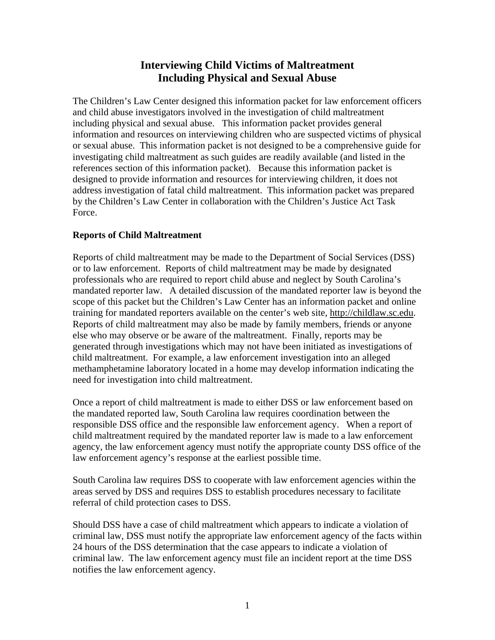# **Interviewing Child Victims of Maltreatment Including Physical and Sexual Abuse**

The Children's Law Center designed this information packet for law enforcement officers and child abuse investigators involved in the investigation of child maltreatment including physical and sexual abuse. This information packet provides general information and resources on interviewing children who are suspected victims of physical or sexual abuse. This information packet is not designed to be a comprehensive guide for investigating child maltreatment as such guides are readily available (and listed in the references section of this information packet). Because this information packet is designed to provide information and resources for interviewing children, it does not address investigation of fatal child maltreatment. This information packet was prepared by the Children's Law Center in collaboration with the Children's Justice Act Task Force.

## **Reports of Child Maltreatment**

Reports of child maltreatment may be made to the Department of Social Services (DSS) or to law enforcement. Reports of child maltreatment may be made by designated professionals who are required to report child abuse and neglect by South Carolina's mandated reporter law. A detailed discussion of the mandated reporter law is beyond the scope of this packet but the Children's Law Center has an information packet and online training for mandated reporters available on the center's web site, http://childlaw.sc.edu. Reports of child maltreatment may also be made by family members, friends or anyone else who may observe or be aware of the maltreatment. Finally, reports may be generated through investigations which may not have been initiated as investigations of child maltreatment. For example, a law enforcement investigation into an alleged methamphetamine laboratory located in a home may develop information indicating the need for investigation into child maltreatment.

Once a report of child maltreatment is made to either DSS or law enforcement based on the mandated reported law, South Carolina law requires coordination between the responsible DSS office and the responsible law enforcement agency. When a report of child maltreatment required by the mandated reporter law is made to a law enforcement agency, the law enforcement agency must notify the appropriate county DSS office of the law enforcement agency's response at the earliest possible time.

South Carolina law requires DSS to cooperate with law enforcement agencies within the areas served by DSS and requires DSS to establish procedures necessary to facilitate referral of child protection cases to DSS.

Should DSS have a case of child maltreatment which appears to indicate a violation of criminal law, DSS must notify the appropriate law enforcement agency of the facts within 24 hours of the DSS determination that the case appears to indicate a violation of criminal law. The law enforcement agency must file an incident report at the time DSS notifies the law enforcement agency.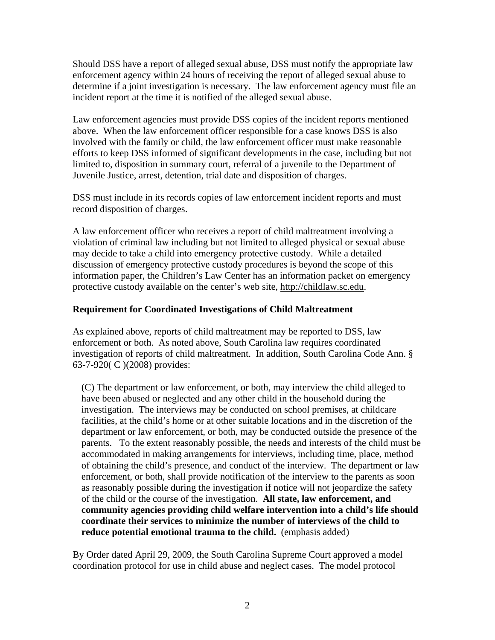Should DSS have a report of alleged sexual abuse, DSS must notify the appropriate law enforcement agency within 24 hours of receiving the report of alleged sexual abuse to determine if a joint investigation is necessary. The law enforcement agency must file an incident report at the time it is notified of the alleged sexual abuse.

Law enforcement agencies must provide DSS copies of the incident reports mentioned above. When the law enforcement officer responsible for a case knows DSS is also involved with the family or child, the law enforcement officer must make reasonable efforts to keep DSS informed of significant developments in the case, including but not limited to, disposition in summary court, referral of a juvenile to the Department of Juvenile Justice, arrest, detention, trial date and disposition of charges.

DSS must include in its records copies of law enforcement incident reports and must record disposition of charges.

A law enforcement officer who receives a report of child maltreatment involving a violation of criminal law including but not limited to alleged physical or sexual abuse may decide to take a child into emergency protective custody. While a detailed discussion of emergency protective custody procedures is beyond the scope of this information paper, the Children's Law Center has an information packet on emergency protective custody available on the center's web site, http://childlaw.sc.edu.

## **Requirement for Coordinated Investigations of Child Maltreatment**

As explained above, reports of child maltreatment may be reported to DSS, law enforcement or both. As noted above, South Carolina law requires coordinated investigation of reports of child maltreatment. In addition, South Carolina Code Ann. § 63-7-920( C )(2008) provides:

 (C) The department or law enforcement, or both, may interview the child alleged to have been abused or neglected and any other child in the household during the investigation. The interviews may be conducted on school premises, at childcare facilities, at the child's home or at other suitable locations and in the discretion of the department or law enforcement, or both, may be conducted outside the presence of the parents. To the extent reasonably possible, the needs and interests of the child must be accommodated in making arrangements for interviews, including time, place, method of obtaining the child's presence, and conduct of the interview. The department or law enforcement, or both, shall provide notification of the interview to the parents as soon as reasonably possible during the investigation if notice will not jeopardize the safety of the child or the course of the investigation. **All state, law enforcement, and community agencies providing child welfare intervention into a child's life should coordinate their services to minimize the number of interviews of the child to reduce potential emotional trauma to the child.** (emphasis added)

By Order dated April 29, 2009, the South Carolina Supreme Court approved a model coordination protocol for use in child abuse and neglect cases. The model protocol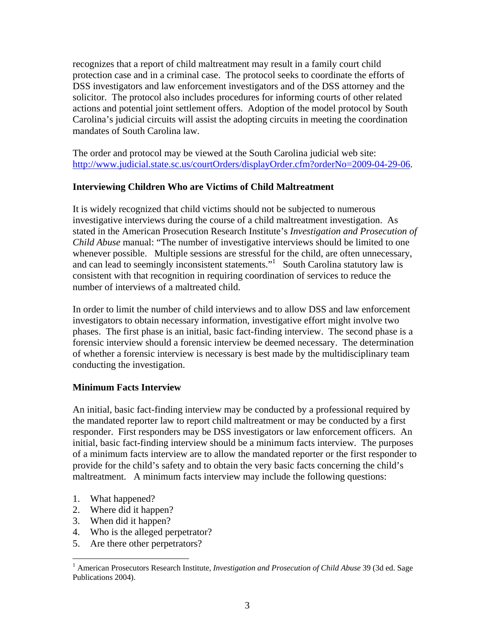recognizes that a report of child maltreatment may result in a family court child protection case and in a criminal case. The protocol seeks to coordinate the efforts of DSS investigators and law enforcement investigators and of the DSS attorney and the solicitor. The protocol also includes procedures for informing courts of other related actions and potential joint settlement offers. Adoption of the model protocol by South Carolina's judicial circuits will assist the adopting circuits in meeting the coordination mandates of South Carolina law.

The order and protocol may be viewed at the South Carolina judicial web site: http://www.judicial.state.sc.us/courtOrders/displayOrder.cfm?orderNo=2009-04-29-06.

## **Interviewing Children Who are Victims of Child Maltreatment**

It is widely recognized that child victims should not be subjected to numerous investigative interviews during the course of a child maltreatment investigation. As stated in the American Prosecution Research Institute's *Investigation and Prosecution of Child Abuse* manual: "The number of investigative interviews should be limited to one whenever possible. Multiple sessions are stressful for the child, are often unnecessary, and can lead to seemingly inconsistent statements."<sup>1</sup> South Carolina statutory law is consistent with that recognition in requiring coordination of services to reduce the number of interviews of a maltreated child.

In order to limit the number of child interviews and to allow DSS and law enforcement investigators to obtain necessary information, investigative effort might involve two phases. The first phase is an initial, basic fact-finding interview. The second phase is a forensic interview should a forensic interview be deemed necessary. The determination of whether a forensic interview is necessary is best made by the multidisciplinary team conducting the investigation.

## **Minimum Facts Interview**

An initial, basic fact-finding interview may be conducted by a professional required by the mandated reporter law to report child maltreatment or may be conducted by a first responder. First responders may be DSS investigators or law enforcement officers. An initial, basic fact-finding interview should be a minimum facts interview. The purposes of a minimum facts interview are to allow the mandated reporter or the first responder to provide for the child's safety and to obtain the very basic facts concerning the child's maltreatment. A minimum facts interview may include the following questions:

1. What happened?

 $\overline{a}$ 

- 2. Where did it happen?
- 3. When did it happen?
- 4. Who is the alleged perpetrator?
- 5. Are there other perpetrators?

<sup>&</sup>lt;sup>1</sup> American Prosecutors Research Institute, *Investigation and Prosecution of Child Abuse* 39 (3d ed. Sage Publications 2004).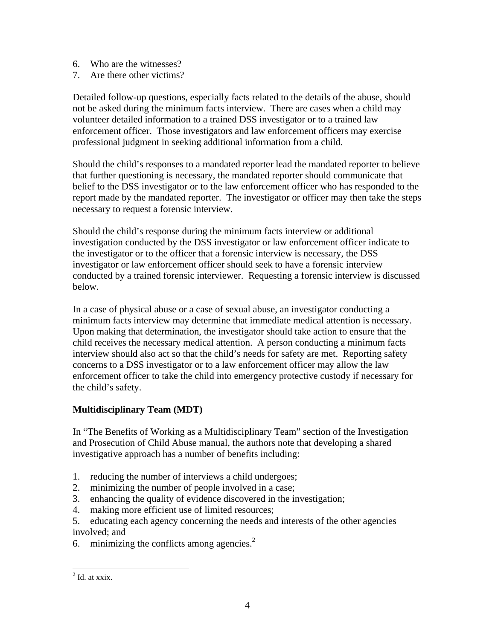- 6. Who are the witnesses?
- 7. Are there other victims?

Detailed follow-up questions, especially facts related to the details of the abuse, should not be asked during the minimum facts interview. There are cases when a child may volunteer detailed information to a trained DSS investigator or to a trained law enforcement officer. Those investigators and law enforcement officers may exercise professional judgment in seeking additional information from a child.

Should the child's responses to a mandated reporter lead the mandated reporter to believe that further questioning is necessary, the mandated reporter should communicate that belief to the DSS investigator or to the law enforcement officer who has responded to the report made by the mandated reporter. The investigator or officer may then take the steps necessary to request a forensic interview.

Should the child's response during the minimum facts interview or additional investigation conducted by the DSS investigator or law enforcement officer indicate to the investigator or to the officer that a forensic interview is necessary, the DSS investigator or law enforcement officer should seek to have a forensic interview conducted by a trained forensic interviewer. Requesting a forensic interview is discussed below.

In a case of physical abuse or a case of sexual abuse, an investigator conducting a minimum facts interview may determine that immediate medical attention is necessary. Upon making that determination, the investigator should take action to ensure that the child receives the necessary medical attention. A person conducting a minimum facts interview should also act so that the child's needs for safety are met. Reporting safety concerns to a DSS investigator or to a law enforcement officer may allow the law enforcement officer to take the child into emergency protective custody if necessary for the child's safety.

## **Multidisciplinary Team (MDT)**

In "The Benefits of Working as a Multidisciplinary Team" section of the Investigation and Prosecution of Child Abuse manual, the authors note that developing a shared investigative approach has a number of benefits including:

- 1. reducing the number of interviews a child undergoes;
- 2. minimizing the number of people involved in a case;
- 3. enhancing the quality of evidence discovered in the investigation;
- 4. making more efficient use of limited resources;
- 5. educating each agency concerning the needs and interests of the other agencies involved; and
- 6. minimizing the conflicts among agencies.<sup>2</sup>

 $\overline{a}$ 

 $2$  Id. at xxix.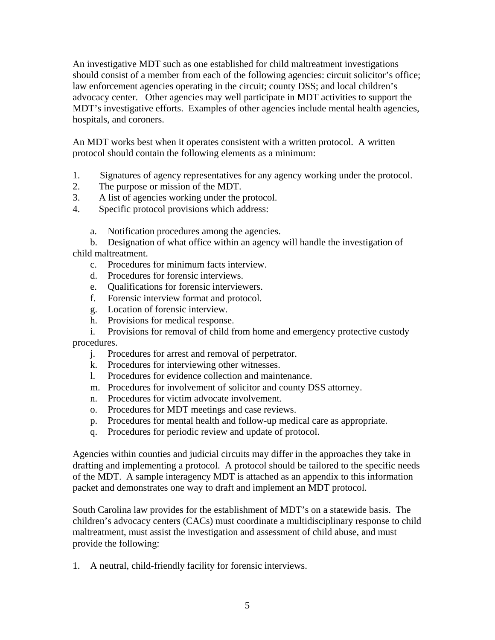An investigative MDT such as one established for child maltreatment investigations should consist of a member from each of the following agencies: circuit solicitor's office; law enforcement agencies operating in the circuit; county DSS; and local children's advocacy center. Other agencies may well participate in MDT activities to support the MDT's investigative efforts. Examples of other agencies include mental health agencies, hospitals, and coroners.

An MDT works best when it operates consistent with a written protocol. A written protocol should contain the following elements as a minimum:

- 1. Signatures of agency representatives for any agency working under the protocol.
- 2. The purpose or mission of the MDT.
- 3. A list of agencies working under the protocol.
- 4. Specific protocol provisions which address:
	- a. Notification procedures among the agencies.

 b. Designation of what office within an agency will handle the investigation of child maltreatment.

- c. Procedures for minimum facts interview.
- d. Procedures for forensic interviews.
- e. Qualifications for forensic interviewers.
- f. Forensic interview format and protocol.
- g. Location of forensic interview.
- h. Provisions for medical response.

 i. Provisions for removal of child from home and emergency protective custody procedures.

- j. Procedures for arrest and removal of perpetrator.
- k. Procedures for interviewing other witnesses.
- l. Procedures for evidence collection and maintenance.
- m. Procedures for involvement of solicitor and county DSS attorney.
- n. Procedures for victim advocate involvement.
- o. Procedures for MDT meetings and case reviews.
- p. Procedures for mental health and follow-up medical care as appropriate.
- q. Procedures for periodic review and update of protocol.

Agencies within counties and judicial circuits may differ in the approaches they take in drafting and implementing a protocol. A protocol should be tailored to the specific needs of the MDT. A sample interagency MDT is attached as an appendix to this information packet and demonstrates one way to draft and implement an MDT protocol.

South Carolina law provides for the establishment of MDT's on a statewide basis. The children's advocacy centers (CACs) must coordinate a multidisciplinary response to child maltreatment, must assist the investigation and assessment of child abuse, and must provide the following:

1. A neutral, child-friendly facility for forensic interviews.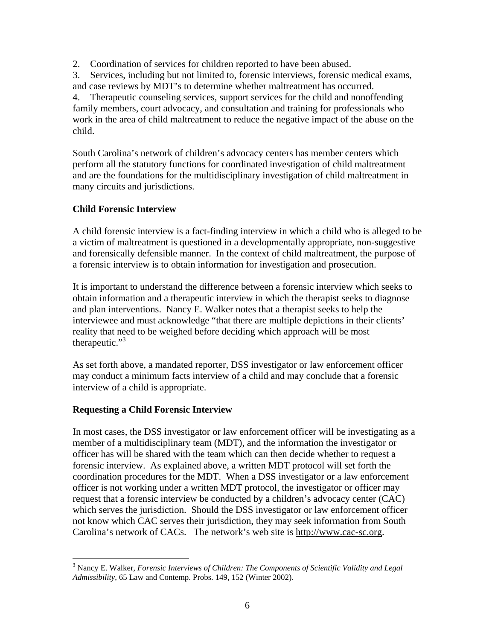2. Coordination of services for children reported to have been abused.

3. Services, including but not limited to, forensic interviews, forensic medical exams, and case reviews by MDT's to determine whether maltreatment has occurred.

4. Therapeutic counseling services, support services for the child and nonoffending family members, court advocacy, and consultation and training for professionals who work in the area of child maltreatment to reduce the negative impact of the abuse on the child.

South Carolina's network of children's advocacy centers has member centers which perform all the statutory functions for coordinated investigation of child maltreatment and are the foundations for the multidisciplinary investigation of child maltreatment in many circuits and jurisdictions.

## **Child Forensic Interview**

A child forensic interview is a fact-finding interview in which a child who is alleged to be a victim of maltreatment is questioned in a developmentally appropriate, non-suggestive and forensically defensible manner. In the context of child maltreatment, the purpose of a forensic interview is to obtain information for investigation and prosecution.

It is important to understand the difference between a forensic interview which seeks to obtain information and a therapeutic interview in which the therapist seeks to diagnose and plan interventions. Nancy E. Walker notes that a therapist seeks to help the interviewee and must acknowledge "that there are multiple depictions in their clients' reality that need to be weighed before deciding which approach will be most therapeutic." $3$ 

As set forth above, a mandated reporter, DSS investigator or law enforcement officer may conduct a minimum facts interview of a child and may conclude that a forensic interview of a child is appropriate.

## **Requesting a Child Forensic Interview**

In most cases, the DSS investigator or law enforcement officer will be investigating as a member of a multidisciplinary team (MDT), and the information the investigator or officer has will be shared with the team which can then decide whether to request a forensic interview. As explained above, a written MDT protocol will set forth the coordination procedures for the MDT. When a DSS investigator or a law enforcement officer is not working under a written MDT protocol, the investigator or officer may request that a forensic interview be conducted by a children's advocacy center (CAC) which serves the jurisdiction. Should the DSS investigator or law enforcement officer not know which CAC serves their jurisdiction, they may seek information from South Carolina's network of CACs. The network's web site is http://www.cac-sc.org.

<sup>&</sup>lt;sup>3</sup><br><sup>3</sup> Nancy E. Walker, *Forensic Interviews of Children: The Components of Scientific Validity and Legal Admissibility*, 65 Law and Contemp. Probs. 149, 152 (Winter 2002).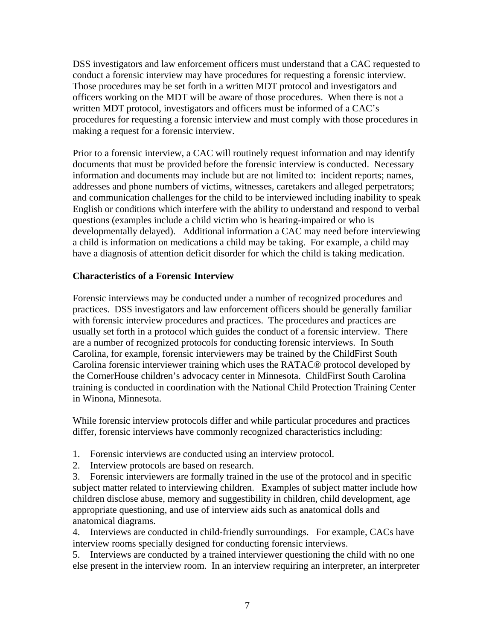DSS investigators and law enforcement officers must understand that a CAC requested to conduct a forensic interview may have procedures for requesting a forensic interview. Those procedures may be set forth in a written MDT protocol and investigators and officers working on the MDT will be aware of those procedures. When there is not a written MDT protocol, investigators and officers must be informed of a CAC's procedures for requesting a forensic interview and must comply with those procedures in making a request for a forensic interview.

Prior to a forensic interview, a CAC will routinely request information and may identify documents that must be provided before the forensic interview is conducted. Necessary information and documents may include but are not limited to: incident reports; names, addresses and phone numbers of victims, witnesses, caretakers and alleged perpetrators; and communication challenges for the child to be interviewed including inability to speak English or conditions which interfere with the ability to understand and respond to verbal questions (examples include a child victim who is hearing-impaired or who is developmentally delayed). Additional information a CAC may need before interviewing a child is information on medications a child may be taking. For example, a child may have a diagnosis of attention deficit disorder for which the child is taking medication.

## **Characteristics of a Forensic Interview**

Forensic interviews may be conducted under a number of recognized procedures and practices. DSS investigators and law enforcement officers should be generally familiar with forensic interview procedures and practices. The procedures and practices are usually set forth in a protocol which guides the conduct of a forensic interview. There are a number of recognized protocols for conducting forensic interviews. In South Carolina, for example, forensic interviewers may be trained by the ChildFirst South Carolina forensic interviewer training which uses the RATAC® protocol developed by the CornerHouse children's advocacy center in Minnesota. ChildFirst South Carolina training is conducted in coordination with the National Child Protection Training Center in Winona, Minnesota.

While forensic interview protocols differ and while particular procedures and practices differ, forensic interviews have commonly recognized characteristics including:

- 1. Forensic interviews are conducted using an interview protocol.
- 2. Interview protocols are based on research.

3. Forensic interviewers are formally trained in the use of the protocol and in specific subject matter related to interviewing children. Examples of subject matter include how children disclose abuse, memory and suggestibility in children, child development, age appropriate questioning, and use of interview aids such as anatomical dolls and anatomical diagrams.

4. Interviews are conducted in child-friendly surroundings. For example, CACs have interview rooms specially designed for conducting forensic interviews.

5. Interviews are conducted by a trained interviewer questioning the child with no one else present in the interview room. In an interview requiring an interpreter, an interpreter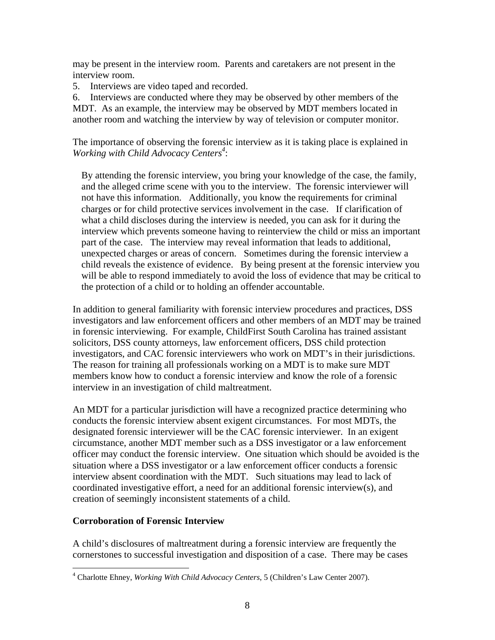may be present in the interview room. Parents and caretakers are not present in the interview room.

5. Interviews are video taped and recorded.

6. Interviews are conducted where they may be observed by other members of the MDT. As an example, the interview may be observed by MDT members located in another room and watching the interview by way of television or computer monitor.

The importance of observing the forensic interview as it is taking place is explained in Working with Child Advocacy Centers<sup>4</sup>:

 By attending the forensic interview, you bring your knowledge of the case, the family, and the alleged crime scene with you to the interview. The forensic interviewer will not have this information. Additionally, you know the requirements for criminal charges or for child protective services involvement in the case. If clarification of what a child discloses during the interview is needed, you can ask for it during the interview which prevents someone having to reinterview the child or miss an important part of the case. The interview may reveal information that leads to additional, unexpected charges or areas of concern. Sometimes during the forensic interview a child reveals the existence of evidence. By being present at the forensic interview you will be able to respond immediately to avoid the loss of evidence that may be critical to the protection of a child or to holding an offender accountable.

In addition to general familiarity with forensic interview procedures and practices, DSS investigators and law enforcement officers and other members of an MDT may be trained in forensic interviewing. For example, ChildFirst South Carolina has trained assistant solicitors, DSS county attorneys, law enforcement officers, DSS child protection investigators, and CAC forensic interviewers who work on MDT's in their jurisdictions. The reason for training all professionals working on a MDT is to make sure MDT members know how to conduct a forensic interview and know the role of a forensic interview in an investigation of child maltreatment.

An MDT for a particular jurisdiction will have a recognized practice determining who conducts the forensic interview absent exigent circumstances. For most MDTs, the designated forensic interviewer will be the CAC forensic interviewer. In an exigent circumstance, another MDT member such as a DSS investigator or a law enforcement officer may conduct the forensic interview. One situation which should be avoided is the situation where a DSS investigator or a law enforcement officer conducts a forensic interview absent coordination with the MDT. Such situations may lead to lack of coordinated investigative effort, a need for an additional forensic interview(s), and creation of seemingly inconsistent statements of a child.

## **Corroboration of Forensic Interview**

 $\overline{a}$ 

A child's disclosures of maltreatment during a forensic interview are frequently the cornerstones to successful investigation and disposition of a case. There may be cases

<sup>4</sup> Charlotte Ehney, *Working With Child Advocacy Centers*, 5 (Children's Law Center 2007).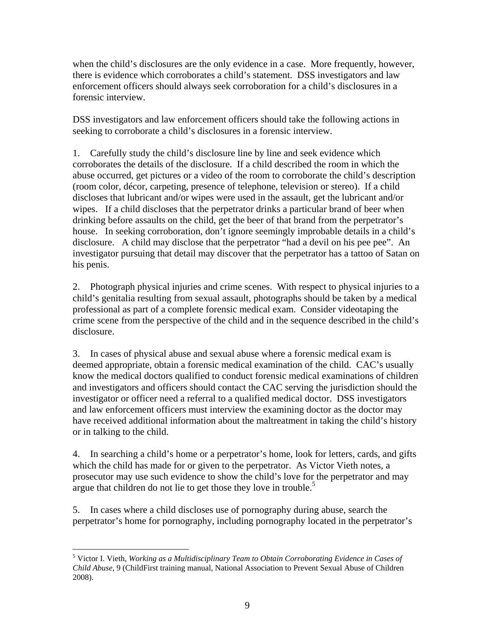when the child's disclosures are the only evidence in a case. More frequently, however, there is evidence which corroborates a child's statement. DSS investigators and law enforcement officers should always seek corroboration for a child's disclosures in a forensic interview.

DSS investigators and law enforcement officers should take the following actions in seeking to corroborate a child's disclosures in a forensic interview.

1. Carefully study the child's disclosure line by line and seek evidence which corroborates the details of the disclosure. If a child described the room in which the abuse occurred, get pictures or a video of the room to corroborate the child's description (room color, décor, carpeting, presence of telephone, television or stereo). If a child discloses that lubricant and/or wipes were used in the assault, get the lubricant and/or wipes. If a child discloses that the perpetrator drinks a particular brand of beer when drinking before assaults on the child, get the beer of that brand from the perpetrator's house. In seeking corroboration, don't ignore seemingly improbable details in a child's disclosure. A child may disclose that the perpetrator "had a devil on his pee pee". An investigator pursuing that detail may discover that the perpetrator has a tattoo of Satan on his penis.

2. Photograph physical injuries and crime scenes. With respect to physical injuries to a child's genitalia resulting from sexual assault, photographs should be taken by a medical professional as part of a complete forensic medical exam. Consider videotaping the crime scene from the perspective of the child and in the sequence described in the child's disclosure.

3. In cases of physical abuse and sexual abuse where a forensic medical exam is deemed appropriate, obtain a forensic medical examination of the child. CAC's usually know the medical doctors qualified to conduct forensic medical examinations of children and investigators and officers should contact the CAC serving the jurisdiction should the investigator or officer need a referral to a qualified medical doctor. DSS investigators and law enforcement officers must interview the examining doctor as the doctor may have received additional information about the maltreatment in taking the child's history or in talking to the child.

4. In searching a child's home or a perpetrator's home, look for letters, cards, and gifts which the child has made for or given to the perpetrator. As Victor Vieth notes, a prosecutor may use such evidence to show the child's love for the perpetrator and may argue that children do not lie to get those they love in trouble.<sup>5</sup>

5. In cases where a child discloses use of pornography during abuse, search the perpetrator's home for pornography, including pornography located in the perpetrator's

 $\overline{a}$ 5 Victor I. Vieth, *Working as a Multidisciplinary Team to Obtain Corroborating Evidence in Cases of Child Abuse*, 9 (ChildFirst training manual, National Association to Prevent Sexual Abuse of Children 2008).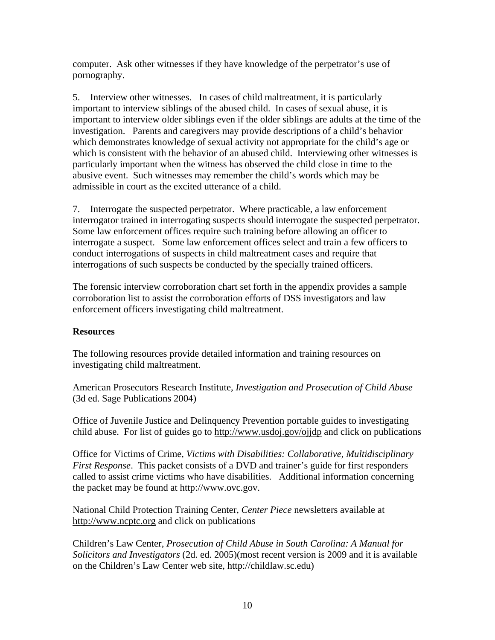computer. Ask other witnesses if they have knowledge of the perpetrator's use of pornography.

5. Interview other witnesses. In cases of child maltreatment, it is particularly important to interview siblings of the abused child. In cases of sexual abuse, it is important to interview older siblings even if the older siblings are adults at the time of the investigation. Parents and caregivers may provide descriptions of a child's behavior which demonstrates knowledge of sexual activity not appropriate for the child's age or which is consistent with the behavior of an abused child. Interviewing other witnesses is particularly important when the witness has observed the child close in time to the abusive event. Such witnesses may remember the child's words which may be admissible in court as the excited utterance of a child.

7. Interrogate the suspected perpetrator. Where practicable, a law enforcement interrogator trained in interrogating suspects should interrogate the suspected perpetrator. Some law enforcement offices require such training before allowing an officer to interrogate a suspect. Some law enforcement offices select and train a few officers to conduct interrogations of suspects in child maltreatment cases and require that interrogations of such suspects be conducted by the specially trained officers.

The forensic interview corroboration chart set forth in the appendix provides a sample corroboration list to assist the corroboration efforts of DSS investigators and law enforcement officers investigating child maltreatment.

#### **Resources**

The following resources provide detailed information and training resources on investigating child maltreatment.

American Prosecutors Research Institute, *Investigation and Prosecution of Child Abuse* (3d ed. Sage Publications 2004)

Office of Juvenile Justice and Delinquency Prevention portable guides to investigating child abuse. For list of guides go to http://www.usdoj.gov/ojjdp and click on publications

Office for Victims of Crime, *Victims with Disabilities: Collaborative, Multidisciplinary First Response*. This packet consists of a DVD and trainer's guide for first responders called to assist crime victims who have disabilities. Additional information concerning the packet may be found at http://www.ovc.gov.

National Child Protection Training Center, *Center Piece* newsletters available at http://www.ncptc.org and click on publications

Children's Law Center, *Prosecution of Child Abuse in South Carolina: A Manual for Solicitors and Investigators* (2d. ed. 2005)(most recent version is 2009 and it is available on the Children's Law Center web site, http://childlaw.sc.edu)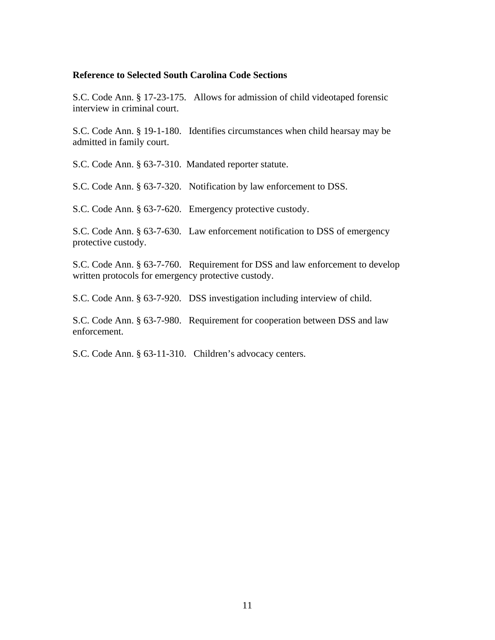#### **Reference to Selected South Carolina Code Sections**

S.C. Code Ann. § 17-23-175. Allows for admission of child videotaped forensic interview in criminal court.

S.C. Code Ann. § 19-1-180. Identifies circumstances when child hearsay may be admitted in family court.

S.C. Code Ann. § 63-7-310. Mandated reporter statute.

S.C. Code Ann. § 63-7-320. Notification by law enforcement to DSS.

S.C. Code Ann. § 63-7-620. Emergency protective custody.

S.C. Code Ann. § 63-7-630. Law enforcement notification to DSS of emergency protective custody.

S.C. Code Ann. § 63-7-760. Requirement for DSS and law enforcement to develop written protocols for emergency protective custody.

S.C. Code Ann. § 63-7-920. DSS investigation including interview of child.

S.C. Code Ann. § 63-7-980. Requirement for cooperation between DSS and law enforcement.

S.C. Code Ann. § 63-11-310. Children's advocacy centers.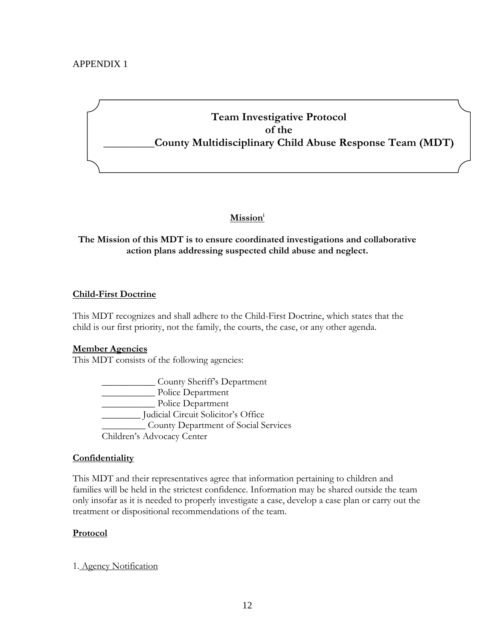## APPENDIX 1

# **Team Investigative Protocol of the \_\_\_\_\_\_\_\_\_County Multidisciplinary Child Abuse Response Team (MDT)**

## **Missioni**

## **The Mission of this MDT is to ensure coordinated investigations and collaborative action plans addressing suspected child abuse and neglect.**

#### **Child-First Doctrine**

This MDT recognizes and shall adhere to the Child-First Doctrine, which states that the child is our first priority, not the family, the courts, the case, or any other agenda.

#### **Member Agencies**

This MDT consists of the following agencies:

 \_\_\_\_\_\_\_\_\_\_\_ County Sheriff's Department \_\_\_\_\_\_\_\_\_\_\_ Police Department \_\_\_\_\_\_\_\_\_\_\_ Police Department \_\_\_\_\_\_\_\_ Judicial Circuit Solicitor's Office \_\_\_\_\_\_\_\_\_ County Department of Social Services Children's Advocacy Center

#### **Confidentiality**

This MDT and their representatives agree that information pertaining to children and families will be held in the strictest confidence. Information may be shared outside the team only insofar as it is needed to properly investigate a case, develop a case plan or carry out the treatment or dispositional recommendations of the team.

#### **Protocol**

1. Agency Notification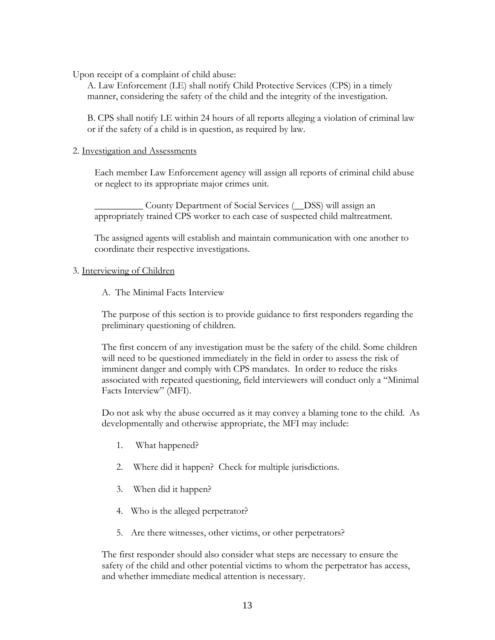Upon receipt of a complaint of child abuse:

A. Law Enforcement (LE) shall notify Child Protective Services (CPS) in a timely manner, considering the safety of the child and the integrity of the investigation.

B. CPS shall notify LE within 24 hours of all reports alleging a violation of criminal law or if the safety of a child is in question, as required by law.

#### 2. Investigation and Assessments

Each member Law Enforcement agency will assign all reports of criminal child abuse or neglect to its appropriate major crimes unit.

\_\_\_\_\_\_\_\_\_\_ County Department of Social Services (\_\_DSS) will assign an appropriately trained CPS worker to each case of suspected child maltreatment.

The assigned agents will establish and maintain communication with one another to coordinate their respective investigations.

#### 3. Interviewing of Children

A. The Minimal Facts Interview

The purpose of this section is to provide guidance to first responders regarding the preliminary questioning of children.

The first concern of any investigation must be the safety of the child. Some children will need to be questioned immediately in the field in order to assess the risk of imminent danger and comply with CPS mandates. In order to reduce the risks associated with repeated questioning, field interviewers will conduct only a "Minimal Facts Interview" (MFI).

Do not ask why the abuse occurred as it may convey a blaming tone to the child. As developmentally and otherwise appropriate, the MFI may include:

- 1. What happened?
- 2. Where did it happen? Check for multiple jurisdictions.
- 3. When did it happen?
- 4. Who is the alleged perpetrator?
- 5. Are there witnesses, other victims, or other perpetrators?

The first responder should also consider what steps are necessary to ensure the safety of the child and other potential victims to whom the perpetrator has access, and whether immediate medical attention is necessary.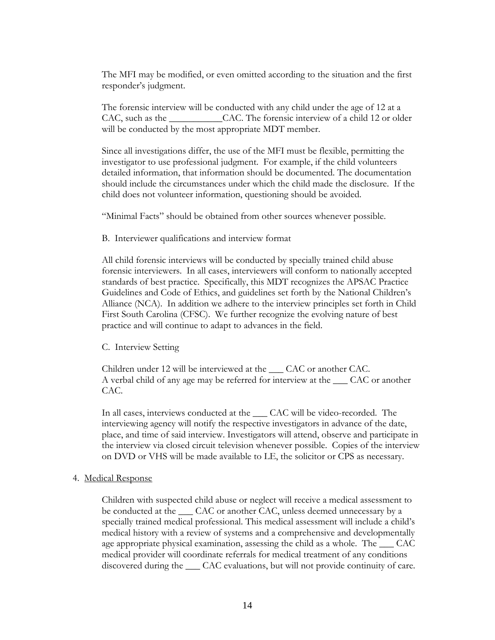The MFI may be modified, or even omitted according to the situation and the first responder's judgment.

The forensic interview will be conducted with any child under the age of 12 at a CAC, such as the \_\_\_\_\_\_\_\_\_\_\_\_\_CAC. The forensic interview of a child 12 or older will be conducted by the most appropriate MDT member.

Since all investigations differ, the use of the MFI must be flexible, permitting the investigator to use professional judgment. For example, if the child volunteers detailed information, that information should be documented. The documentation should include the circumstances under which the child made the disclosure. If the child does not volunteer information, questioning should be avoided.

"Minimal Facts" should be obtained from other sources whenever possible.

B. Interviewer qualifications and interview format

All child forensic interviews will be conducted by specially trained child abuse forensic interviewers. In all cases, interviewers will conform to nationally accepted standards of best practice. Specifically, this MDT recognizes the APSAC Practice Guidelines and Code of Ethics, and guidelines set forth by the National Children's Alliance (NCA). In addition we adhere to the interview principles set forth in Child First South Carolina (CFSC). We further recognize the evolving nature of best practice and will continue to adapt to advances in the field.

C. Interview Setting

Children under 12 will be interviewed at the \_\_\_ CAC or another CAC. A verbal child of any age may be referred for interview at the \_\_\_ CAC or another CAC.

In all cases, interviews conducted at the  $\rule{1em}{0.15mm}$  CAC will be video-recorded. The interviewing agency will notify the respective investigators in advance of the date, place, and time of said interview. Investigators will attend, observe and participate in the interview via closed circuit television whenever possible. Copies of the interview on DVD or VHS will be made available to LE, the solicitor or CPS as necessary.

#### 4. Medical Response

Children with suspected child abuse or neglect will receive a medical assessment to be conducted at the  $\_\_$ CAC or another CAC, unless deemed unnecessary by a specially trained medical professional. This medical assessment will include a child's medical history with a review of systems and a comprehensive and developmentally age appropriate physical examination, assessing the child as a whole. The CAC medical provider will coordinate referrals for medical treatment of any conditions discovered during the \_\_\_ CAC evaluations, but will not provide continuity of care.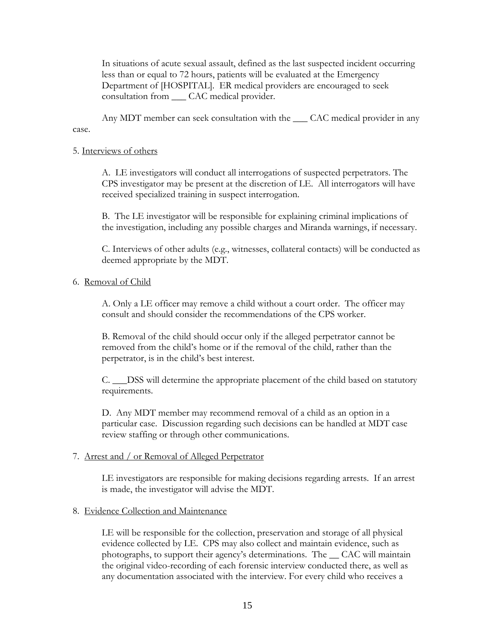In situations of acute sexual assault, defined as the last suspected incident occurring less than or equal to 72 hours, patients will be evaluated at the Emergency Department of [HOSPITAL]. ER medical providers are encouraged to seek consultation from \_\_\_ CAC medical provider.

Any MDT member can seek consultation with the  $\_\_\_$ CAC medical provider in any case.

#### 5. Interviews of others

A. LE investigators will conduct all interrogations of suspected perpetrators. The CPS investigator may be present at the discretion of LE. All interrogators will have received specialized training in suspect interrogation.

B. The LE investigator will be responsible for explaining criminal implications of the investigation, including any possible charges and Miranda warnings, if necessary.

C. Interviews of other adults (e.g., witnesses, collateral contacts) will be conducted as deemed appropriate by the MDT.

#### 6. Removal of Child

A. Only a LE officer may remove a child without a court order. The officer may consult and should consider the recommendations of the CPS worker.

B. Removal of the child should occur only if the alleged perpetrator cannot be removed from the child's home or if the removal of the child, rather than the perpetrator, is in the child's best interest.

C. \_\_\_DSS will determine the appropriate placement of the child based on statutory requirements.

D. Any MDT member may recommend removal of a child as an option in a particular case. Discussion regarding such decisions can be handled at MDT case review staffing or through other communications.

#### 7. Arrest and / or Removal of Alleged Perpetrator

LE investigators are responsible for making decisions regarding arrests. If an arrest is made, the investigator will advise the MDT.

#### 8. Evidence Collection and Maintenance

LE will be responsible for the collection, preservation and storage of all physical evidence collected by LE. CPS may also collect and maintain evidence, such as photographs, to support their agency's determinations. The \_\_ CAC will maintain the original video-recording of each forensic interview conducted there, as well as any documentation associated with the interview. For every child who receives a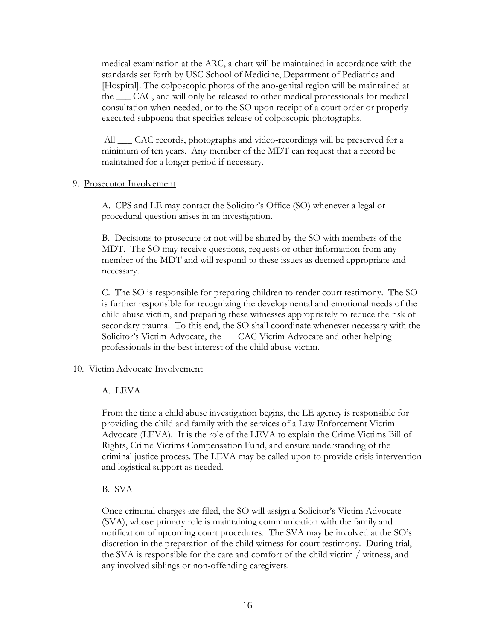medical examination at the ARC, a chart will be maintained in accordance with the standards set forth by USC School of Medicine, Department of Pediatrics and [Hospital]. The colposcopic photos of the ano-genital region will be maintained at the \_\_\_ CAC, and will only be released to other medical professionals for medical consultation when needed, or to the SO upon receipt of a court order or properly executed subpoena that specifies release of colposcopic photographs.

All \_\_\_ CAC records, photographs and video-recordings will be preserved for a minimum of ten years. Any member of the MDT can request that a record be maintained for a longer period if necessary.

#### 9. Prosecutor Involvement

A. CPS and LE may contact the Solicitor's Office (SO) whenever a legal or procedural question arises in an investigation.

B. Decisions to prosecute or not will be shared by the SO with members of the MDT. The SO may receive questions, requests or other information from any member of the MDT and will respond to these issues as deemed appropriate and necessary.

C. The SO is responsible for preparing children to render court testimony. The SO is further responsible for recognizing the developmental and emotional needs of the child abuse victim, and preparing these witnesses appropriately to reduce the risk of secondary trauma. To this end, the SO shall coordinate whenever necessary with the Solicitor's Victim Advocate, the CAC Victim Advocate and other helping professionals in the best interest of the child abuse victim.

#### 10. Victim Advocate Involvement

#### A. LEVA

From the time a child abuse investigation begins, the LE agency is responsible for providing the child and family with the services of a Law Enforcement Victim Advocate (LEVA). It is the role of the LEVA to explain the Crime Victims Bill of Rights, Crime Victims Compensation Fund, and ensure understanding of the criminal justice process. The LEVA may be called upon to provide crisis intervention and logistical support as needed.

#### B. SVA

Once criminal charges are filed, the SO will assign a Solicitor's Victim Advocate (SVA), whose primary role is maintaining communication with the family and notification of upcoming court procedures. The SVA may be involved at the SO's discretion in the preparation of the child witness for court testimony. During trial, the SVA is responsible for the care and comfort of the child victim / witness, and any involved siblings or non-offending caregivers.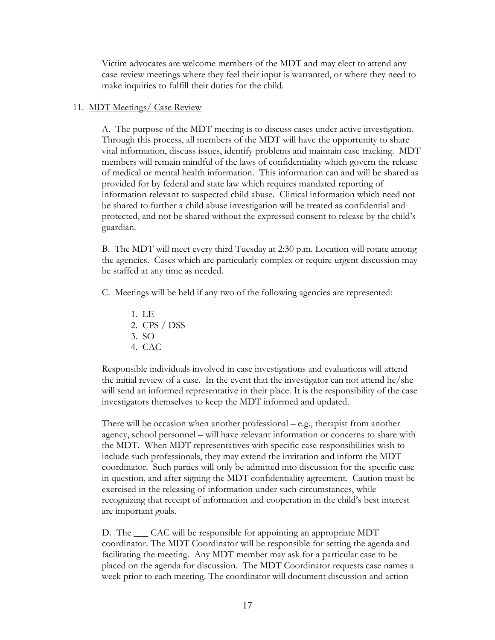Victim advocates are welcome members of the MDT and may elect to attend any case review meetings where they feel their input is warranted, or where they need to make inquiries to fulfill their duties for the child.

#### 11. MDT Meetings/ Case Review

A. The purpose of the MDT meeting is to discuss cases under active investigation. Through this process, all members of the MDT will have the opportunity to share vital information, discuss issues, identify problems and maintain case tracking. MDT members will remain mindful of the laws of confidentiality which govern the release of medical or mental health information. This information can and will be shared as provided for by federal and state law which requires mandated reporting of information relevant to suspected child abuse. Clinical information which need not be shared to further a child abuse investigation will be treated as confidential and protected, and not be shared without the expressed consent to release by the child's guardian.

B. The MDT will meet every third Tuesday at 2:30 p.m. Location will rotate among the agencies. Cases which are particularly complex or require urgent discussion may be staffed at any time as needed.

C. Meetings will be held if any two of the following agencies are represented:

- 1. LE 2. CPS / DSS 3. SO
- 4. CAC

Responsible individuals involved in case investigations and evaluations will attend the initial review of a case. In the event that the investigator can not attend he/she will send an informed representative in their place. It is the responsibility of the case investigators themselves to keep the MDT informed and updated.

There will be occasion when another professional – e.g., therapist from another agency, school personnel – will have relevant information or concerns to share with the MDT. When MDT representatives with specific case responsibilities wish to include such professionals, they may extend the invitation and inform the MDT coordinator. Such parties will only be admitted into discussion for the specific case in question, and after signing the MDT confidentiality agreement. Caution must be exercised in the releasing of information under such circumstances, while recognizing that receipt of information and cooperation in the child's best interest are important goals.

D. The  $\_\_$ CAC will be responsible for appointing an appropriate MDT coordinator. The MDT Coordinator will be responsible for setting the agenda and facilitating the meeting. Any MDT member may ask for a particular case to be placed on the agenda for discussion. The MDT Coordinator requests case names a week prior to each meeting. The coordinator will document discussion and action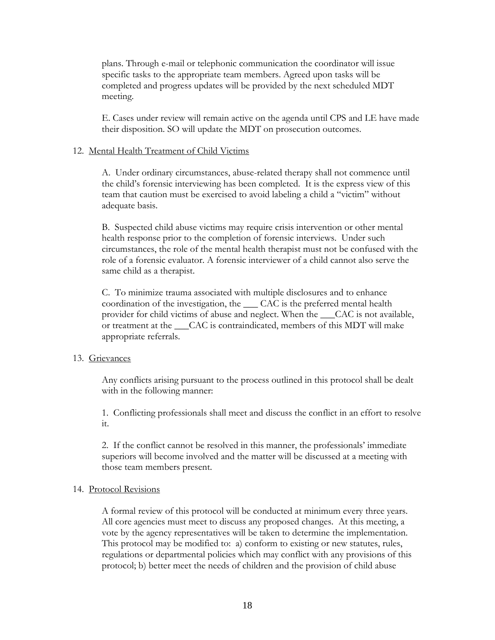plans. Through e-mail or telephonic communication the coordinator will issue specific tasks to the appropriate team members. Agreed upon tasks will be completed and progress updates will be provided by the next scheduled MDT meeting.

E. Cases under review will remain active on the agenda until CPS and LE have made their disposition. SO will update the MDT on prosecution outcomes.

#### 12. Mental Health Treatment of Child Victims

A. Under ordinary circumstances, abuse-related therapy shall not commence until the child's forensic interviewing has been completed. It is the express view of this team that caution must be exercised to avoid labeling a child a "victim" without adequate basis.

B. Suspected child abuse victims may require crisis intervention or other mental health response prior to the completion of forensic interviews. Under such circumstances, the role of the mental health therapist must not be confused with the role of a forensic evaluator. A forensic interviewer of a child cannot also serve the same child as a therapist.

C. To minimize trauma associated with multiple disclosures and to enhance coordination of the investigation, the \_\_\_ CAC is the preferred mental health provider for child victims of abuse and neglect. When the \_\_\_CAC is not available, or treatment at the CAC is contraindicated, members of this MDT will make appropriate referrals.

#### 13. Grievances

Any conflicts arising pursuant to the process outlined in this protocol shall be dealt with in the following manner:

1. Conflicting professionals shall meet and discuss the conflict in an effort to resolve it.

2. If the conflict cannot be resolved in this manner, the professionals' immediate superiors will become involved and the matter will be discussed at a meeting with those team members present.

#### 14. Protocol Revisions

A formal review of this protocol will be conducted at minimum every three years. All core agencies must meet to discuss any proposed changes. At this meeting, a vote by the agency representatives will be taken to determine the implementation. This protocol may be modified to: a) conform to existing or new statutes, rules, regulations or departmental policies which may conflict with any provisions of this protocol; b) better meet the needs of children and the provision of child abuse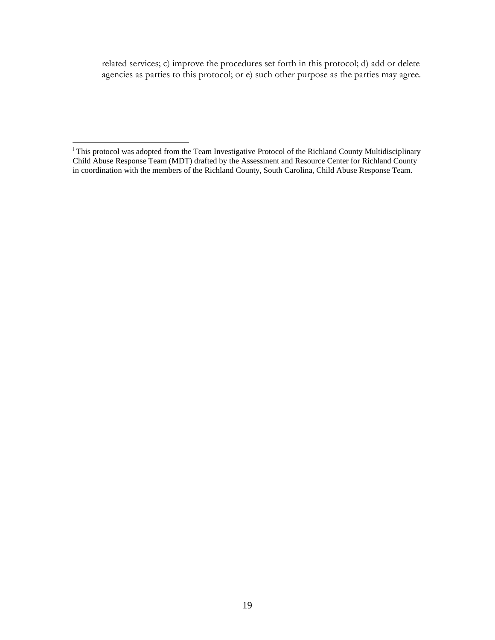related services; c) improve the procedures set forth in this protocol; d) add or delete agencies as parties to this protocol; or e) such other purpose as the parties may agree.

 i This protocol was adopted from the Team Investigative Protocol of the Richland County Multidisciplinary Child Abuse Response Team (MDT) drafted by the Assessment and Resource Center for Richland County in coordination with the members of the Richland County, South Carolina, Child Abuse Response Team.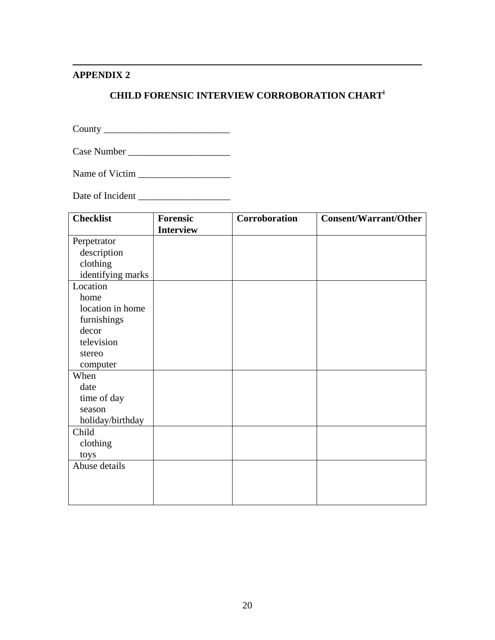#### $\overline{a}$ **APPENDIX 2**

# **CHILD FORENSIC INTERVIEW CORROBORATION CHART<sup>i</sup>**

County \_\_\_\_\_\_\_\_\_\_\_\_\_\_\_\_\_\_\_\_\_\_\_\_\_\_

Case Number \_\_\_\_\_\_\_\_\_\_\_\_\_\_\_\_\_\_\_\_\_

Name of Victim \_\_\_\_\_\_\_\_\_\_\_\_\_\_\_\_\_\_\_

Date of Incident \_\_\_\_\_\_\_\_\_\_\_\_\_\_\_\_\_\_\_

| <b>Checklist</b>  | <b>Forensic</b>  | Corroboration | <b>Consent/Warrant/Other</b> |
|-------------------|------------------|---------------|------------------------------|
|                   | <b>Interview</b> |               |                              |
| Perpetrator       |                  |               |                              |
| description       |                  |               |                              |
| clothing          |                  |               |                              |
| identifying marks |                  |               |                              |
| Location          |                  |               |                              |
| home              |                  |               |                              |
| location in home  |                  |               |                              |
| furnishings       |                  |               |                              |
| decor             |                  |               |                              |
| television        |                  |               |                              |
| stereo            |                  |               |                              |
| computer          |                  |               |                              |
| When              |                  |               |                              |
| date              |                  |               |                              |
| time of day       |                  |               |                              |
| season            |                  |               |                              |
| holiday/birthday  |                  |               |                              |
| Child             |                  |               |                              |
| clothing          |                  |               |                              |
| toys              |                  |               |                              |
| Abuse details     |                  |               |                              |
|                   |                  |               |                              |
|                   |                  |               |                              |
|                   |                  |               |                              |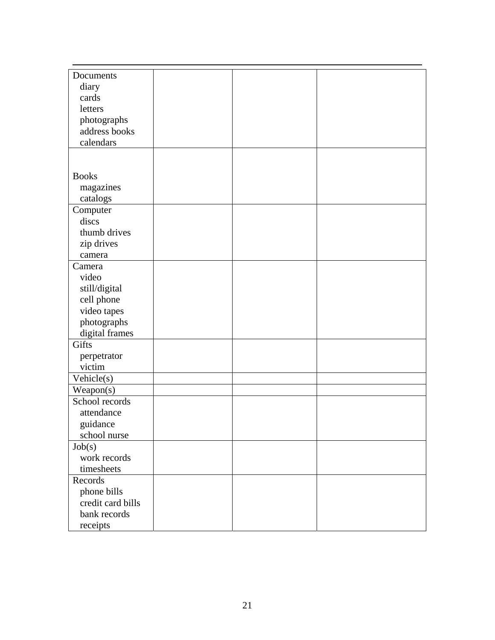| Documents                |  |  |
|--------------------------|--|--|
| diary                    |  |  |
| cards                    |  |  |
| letters                  |  |  |
| photographs              |  |  |
| address books            |  |  |
| calendars                |  |  |
|                          |  |  |
|                          |  |  |
| <b>Books</b>             |  |  |
| magazines                |  |  |
| catalogs                 |  |  |
| Computer                 |  |  |
| discs                    |  |  |
| thumb drives             |  |  |
| zip drives               |  |  |
| camera                   |  |  |
| Camera                   |  |  |
| video                    |  |  |
| still/digital            |  |  |
| cell phone               |  |  |
| video tapes              |  |  |
| photographs              |  |  |
| digital frames           |  |  |
| Gifts                    |  |  |
| perpetrator              |  |  |
| victim                   |  |  |
| $\overline{V}$ ehicle(s) |  |  |
| Weapon(s)                |  |  |
| School records           |  |  |
| attendance               |  |  |
| guidance                 |  |  |
| school nurse             |  |  |
| Job(s)                   |  |  |
| work records             |  |  |
| timesheets               |  |  |
| Records                  |  |  |
| phone bills              |  |  |
| credit card bills        |  |  |
| bank records             |  |  |
| receipts                 |  |  |
|                          |  |  |